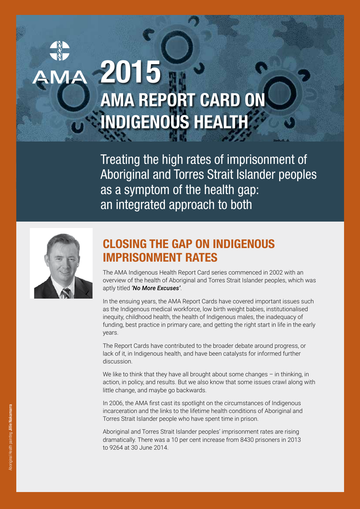# **2015 AMA REPORT CARD ON INDIGENOUS HEALTH**

**Treating the high rates of imprisonment of** Aboriginal and Torres Strait Islander peoples as a symptom of the health gap: an integrated approach to both



## **CLOSING THE GAP ON INDIGENOUS IMPRISONMENT RATES**

The AMA Indigenous Health Report Card series commenced in 2002 with an overview of the health of Aboriginal and Torres Strait Islander peoples, which was aptly titled *'No More Excuses'*.

In the ensuing years, the AMA Report Cards have covered important issues such as the Indigenous medical workforce, low birth weight babies, institutionalised inequity, childhood health, the health of Indigenous males, the inadequacy of funding, best practice in primary care, and getting the right start in life in the early years.

The Report Cards have contributed to the broader debate around progress, or lack of it, in Indigenous health, and have been catalysts for informed further discussion.

We like to think that they have all brought about some changes – in thinking, in action, in policy, and results. But we also know that some issues crawl along with little change, and maybe go backwards.

In 2006, the AMA first cast its spotlight on the circumstances of Indigenous incarceration and the links to the lifetime health conditions of Aboriginal and Torres Strait Islander people who have spent time in prison.

Aboriginal and Torres Strait Islander peoples' imprisonment rates are rising dramatically. There was a 10 per cent increase from 8430 prisoners in 2013 to 9264 at 30 June 2014.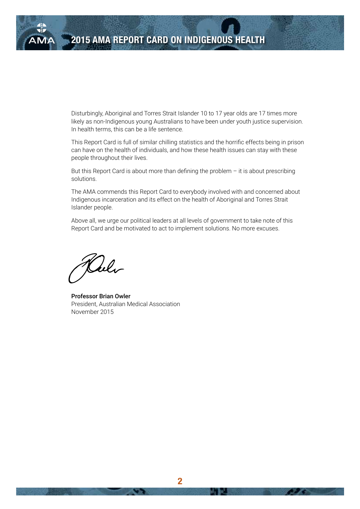

Disturbingly, Aboriginal and Torres Strait Islander 10 to 17 year olds are 17 times more likely as non-Indigenous young Australians to have been under youth justice supervision. In health terms, this can be a life sentence.

This Report Card is full of similar chilling statistics and the horrific effects being in prison can have on the health of individuals, and how these health issues can stay with these people throughout their lives.

But this Report Card is about more than defining the problem  $-$  it is about prescribing solutions.

The AMA commends this Report Card to everybody involved with and concerned about Indigenous incarceration and its effect on the health of Aboriginal and Torres Strait Islander people.

Above all, we urge our political leaders at all levels of government to take note of this Report Card and be motivated to act to implement solutions. No more excuses.

Alle

Professor Brian Owler President, Australian Medical Association November 2015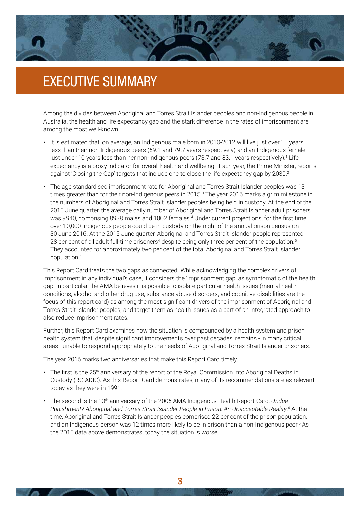

## EXECUTIVE SUMMARY

Among the divides between Aboriginal and Torres Strait Islander peoples and non-Indigenous people in Australia, the health and life expectancy gap and the stark difference in the rates of imprisonment are among the most well-known.

- It is estimated that, on average, an Indigenous male born in 2010-2012 will live just over 10 years less than their non-Indigenous peers (69.1 and 79.7 years respectively) and an Indigenous female just under 10 years less than her non-Indigenous peers (73.7 and 83.1 years respectively).<sup>1</sup> Life expectancy is a proxy indicator for overall health and wellbeing. Each year, the Prime Minister, reports against 'Closing the Gap' targets that include one to close the life expectancy gap by 2030.<sup>2</sup>
- The age standardised imprisonment rate for Aboriginal and Torres Strait Islander peoples was 13 times greater than for their non-Indigenous peers in 2015.<sup>3</sup> The year 2016 marks a grim milestone in the numbers of Aboriginal and Torres Strait Islander peoples being held in custody. At the end of the 2015 June quarter, the average daily number of Aboriginal and Torres Strait Islander adult prisoners was 9940, comprising 8938 males and 1002 females.<sup>4</sup> Under current projections, for the first time over 10,000 Indigenous people could be in custody on the night of the annual prison census on 30 June 2016. At the 2015 June quarter, Aboriginal and Torres Strait Islander people represented 28 per cent of all adult full-time prisoners<sup>4</sup> despite being only three per cent of the population.<sup>5</sup> They accounted for approximately two per cent of the total Aboriginal and Torres Strait Islander population.4

This Report Card treats the two gaps as connected. While acknowledging the complex drivers of imprisonment in any individual's case, it considers the 'imprisonment gap' as symptomatic of the health gap. In particular, the AMA believes it is possible to isolate particular health issues (mental health conditions, alcohol and other drug use, substance abuse disorders, and cognitive disabilities are the focus of this report card) as among the most significant drivers of the imprisonment of Aboriginal and Torres Strait Islander peoples, and target them as health issues as a part of an integrated approach to also reduce imprisonment rates.

Further, this Report Card examines how the situation is compounded by a health system and prison health system that, despite significant improvements over past decades, remains - in many critical areas - unable to respond appropriately to the needs of Aboriginal and Torres Strait Islander prisoners.

The year 2016 marks two anniversaries that make this Report Card timely.

- The first is the 25<sup>th</sup> anniversary of the report of the Royal Commission into Aboriginal Deaths in Custody (RCIADIC). As this Report Card demonstrates, many of its recommendations are as relevant today as they were in 1991.
- The second is the 10th anniversary of the 2006 AMA Indigenous Health Report Card, *Undue Punishment? Aboriginal and Torres Strait Islander People in Prison: An Unacceptable Reality*. 6 At that time, Aboriginal and Torres Strait Islander peoples comprised 22 per cent of the prison population, and an Indigenous person was 12 times more likely to be in prison than a non-Indigenous peer.<sup>6</sup> As the 2015 data above demonstrates, today the situation is worse.

**2 3**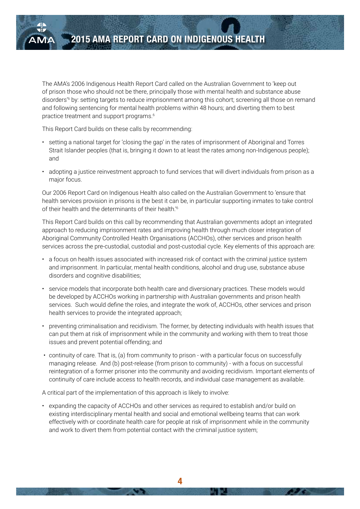The AMA's 2006 Indigenous Health Report Card called on the Australian Government to 'keep out of prison those who should not be there, principally those with mental health and substance abuse disorders'6 by: setting targets to reduce imprisonment among this cohort; screening all those on remand and following sentencing for mental health problems within 48 hours; and diverting them to best practice treatment and support programs.6

This Report Card builds on these calls by recommending:

- setting a national target for 'closing the gap' in the rates of imprisonment of Aboriginal and Torres Strait Islander peoples (that is, bringing it down to at least the rates among non-Indigenous people); and
- adopting a justice reinvestment approach to fund services that will divert individuals from prison as a major focus.

Our 2006 Report Card on Indigenous Health also called on the Australian Government to 'ensure that health services provision in prisons is the best it can be, in particular supporting inmates to take control of their health and the determinants of their health.'6

This Report Card builds on this call by recommending that Australian governments adopt an integrated approach to reducing imprisonment rates and improving health through much closer integration of Aboriginal Community Controlled Health Organisations (ACCHOs), other services and prison health services across the pre-custodial, custodial and post-custodial cycle. Key elements of this approach are:

- a focus on health issues associated with increased risk of contact with the criminal justice system and imprisonment. In particular, mental health conditions, alcohol and drug use, substance abuse disorders and cognitive disabilities;
- service models that incorporate both health care and diversionary practices. These models would be developed by ACCHOs working in partnership with Australian governments and prison health services. Such would define the roles, and integrate the work of, ACCHOs, other services and prison health services to provide the integrated approach;
- preventing criminalisation and recidivism. The former, by detecting individuals with health issues that can put them at risk of imprisonment while in the community and working with them to treat those issues and prevent potential offending; and
- continuity of care. That is, (a) from community to prison with a particular focus on successfully managing release. And (b) post-release (from prison to community) - with a focus on successful reintegration of a former prisoner into the community and avoiding recidivism. Important elements of continuity of care include access to health records, and individual case management as available.

A critical part of the implementation of this approach is likely to involve:

• expanding the capacity of ACCHOs and other services as required to establish and/or build on existing interdisciplinary mental health and social and emotional wellbeing teams that can work effectively with or coordinate health care for people at risk of imprisonment while in the community and work to divert them from potential contact with the criminal justice system;

**4**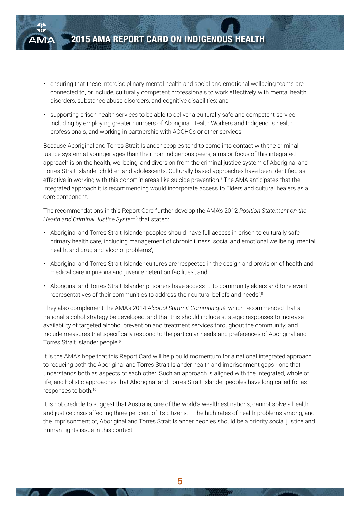- ensuring that these interdisciplinary mental health and social and emotional wellbeing teams are connected to, or include, culturally competent professionals to work effectively with mental health disorders, substance abuse disorders, and cognitive disabilities; and
- supporting prison health services to be able to deliver a culturally safe and competent service including by employing greater numbers of Aboriginal Health Workers and Indigenous health professionals, and working in partnership with ACCHOs or other services.

Because Aboriginal and Torres Strait Islander peoples tend to come into contact with the criminal justice system at younger ages than their non-Indigenous peers, a major focus of this integrated approach is on the health, wellbeing, and diversion from the criminal justice system of Aboriginal and Torres Strait Islander children and adolescents. Culturally-based approaches have been identified as effective in working with this cohort in areas like suicide prevention.<sup>7</sup> The AMA anticipates that the integrated approach it is recommending would incorporate access to Elders and cultural healers as a core component.

The recommendations in this Report Card further develop the AMA's 2012 *Position Statement on the Health and Criminal Justice System*<sup>8</sup> that stated:

- Aboriginal and Torres Strait Islander peoples should 'have full access in prison to culturally safe primary health care, including management of chronic illness, social and emotional wellbeing, mental health, and drug and alcohol problems';
- Aboriginal and Torres Strait Islander cultures are 'respected in the design and provision of health and medical care in prisons and juvenile detention facilities'; and
- Aboriginal and Torres Strait Islander prisoners have access … 'to community elders and to relevant representatives of their communities to address their cultural beliefs and needs'.8

They also complement the AMA's 2014 A*lcohol Summit Communiqué*, which recommended that a national alcohol strategy be developed, and that this should include strategic responses to increase availability of targeted alcohol prevention and treatment services throughout the community; and include measures that specifically respond to the particular needs and preferences of Aboriginal and Torres Strait Islander people.<sup>9</sup>

It is the AMA's hope that this Report Card will help build momentum for a national integrated approach to reducing both the Aboriginal and Torres Strait Islander health and imprisonment gaps - one that understands both as aspects of each other. Such an approach is aligned with the integrated, whole of life, and holistic approaches that Aboriginal and Torres Strait Islander peoples have long called for as responses to both.10

It is not credible to suggest that Australia, one of the world's wealthiest nations, cannot solve a health and justice crisis affecting three per cent of its citizens.<sup>11</sup> The high rates of health problems among, and the imprisonment of, Aboriginal and Torres Strait Islander peoples should be a priority social justice and human rights issue in this context.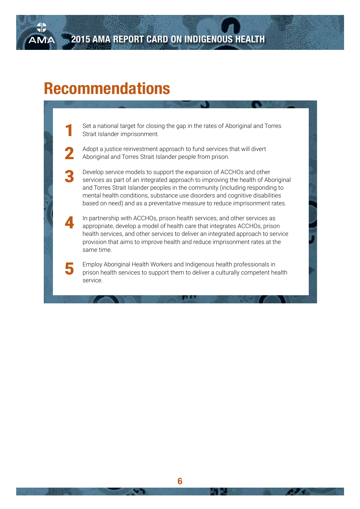## **Recommendations**

Set a national target for closing the gap in the rates of Aboriginal and Torres Strait Islander imprisonment.

2 Adopt a justice reinvestment approach to fund services that will divert Aboriginal and Torres Strait Islander people from prison.

**3** Develop service models to support the expansion of ACCHOs and other services as part of an integrated approach to improving the health of Aboriginal and Torres Strait Islander peoples in the community (including responding to mental health conditions, substance use disorders and cognitive disabilities based on need) and as a preventative measure to reduce imprisonment rates.

4 In partnership with ACCHOs, prison health services, and other services as appropriate, develop a model of health care that integrates ACCHOs, prison health services, and other services to deliver an integrated approach to service provision that aims to improve health and reduce imprisonment rates at the same time.

5 Employ Aboriginal Health Workers and Indigenous health professionals in prison health services to support them to deliver a culturally competent health service.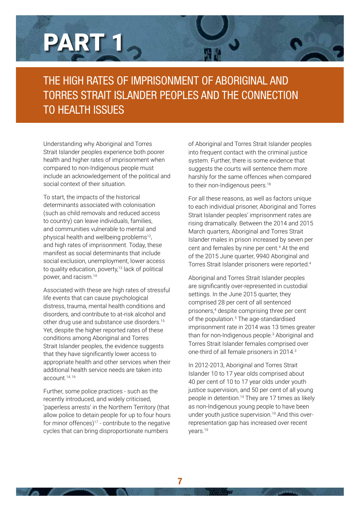# PART 1

## THE HIGH RATES OF IMPRISONMENT OF ABORIGINAL AND TORRES STRAIT ISLANDER PEOPLES AND THE CONNECTION TO HEALTH ISSUES

Understanding why Aboriginal and Torres Strait Islander peoples experience both poorer health and higher rates of imprisonment when compared to non-Indigenous people must include an acknowledgement of the political and social context of their situation.

To start, the impacts of the historical determinants associated with colonisation (such as child removals and reduced access to country) can leave individuals, families, and communities vulnerable to mental and physical health and wellbeing problems<sup>12</sup>, and high rates of imprisonment. Today, these manifest as social determinants that include social exclusion, unemployment, lower access to quality education, poverty,<sup>13</sup> lack of political power, and racism.14

Associated with these are high rates of stressful life events that can cause psychological distress, trauma, mental health conditions and disorders, and contribute to at-risk alcohol and other drug use and substance use disorders.15 Yet, despite the higher reported rates of these conditions among Aboriginal and Torres Strait Islander peoples, the evidence suggests that they have significantly lower access to appropriate health and other services when their additional health service needs are taken into account.14, 16

Further, some police practices - such as the recently introduced, and widely criticised, 'paperless arrests' in the Northern Territory (that allow police to detain people for up to four hours for minor offences)17 - contribute to the negative cycles that can bring disproportionate numbers

**6 7**

of Aboriginal and Torres Strait Islander peoples into frequent contact with the criminal justice system. Further, there is some evidence that suggests the courts will sentence them more harshly for the same offences when compared to their non-Indigenous peers.<sup>18</sup>

For all these reasons, as well as factors unique to each individual prisoner, Aboriginal and Torres Strait Islander peoples' imprisonment rates are rising dramatically. Between the 2014 and 2015 March quarters, Aboriginal and Torres Strait Islander males in prison increased by seven per cent and females by nine per cent.<sup>4</sup> At the end of the 2015 June quarter, 9940 Aboriginal and Torres Strait Islander prisoners were reported.4

Aboriginal and Torres Strait Islander peoples are significantly over-represented in custodial settings. In the June 2015 quarter, they comprised 28 per cent of all sentenced prisoners,4 despite comprising three per cent of the population.<sup>5</sup> The age-standardised imprisonment rate in 2014 was 13 times greater than for non-Indigenous people.<sup>3</sup> Aboriginal and Torres Strait Islander females comprised over one-third of all female prisoners in 2014.3

In 2012-2013, Aboriginal and Torres Strait Islander 10 to 17 year olds comprised about 40 per cent of 10 to 17 year olds under youth justice supervision, and 50 per cent of all young people in detention.<sup>19</sup> They are 17 times as likely as non-Indigenous young people to have been under youth justice supervision.<sup>19</sup> And this overrepresentation gap has increased over recent years.19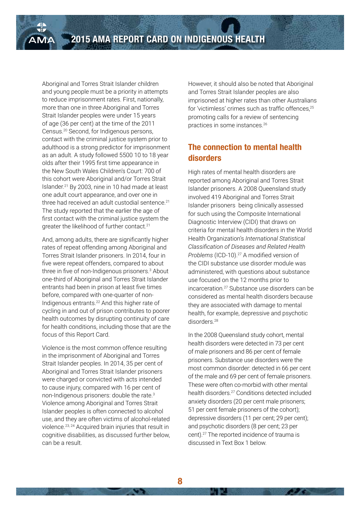Aboriginal and Torres Strait Islander children and young people must be a priority in attempts to reduce imprisonment rates. First, nationally, more than one in three Aboriginal and Torres Strait Islander peoples were under 15 years of age (36 per cent) at the time of the 2011 Census.20 Second, for Indigenous persons, contact with the criminal justice system prior to adulthood is a strong predictor for imprisonment as an adult. A study followed 5500 10 to 18 year olds after their 1995 first time appearance in the New South Wales Children's Court: 700 of this cohort were Aboriginal and/or Torres Strait Islander.21 By 2003, nine in 10 had made at least one adult court appearance, and over one in three had received an adult custodial sentence.<sup>21</sup> The study reported that the earlier the age of first contact with the criminal justice system the greater the likelihood of further contact.21

And, among adults, there are significantly higher rates of repeat offending among Aboriginal and Torres Strait Islander prisoners. In 2014, four in five were repeat offenders, compared to about three in five of non-Indigenous prisoners.<sup>3</sup> About one-third of Aboriginal and Torres Strait Islander entrants had been in prison at least five times before, compared with one-quarter of non-Indigenous entrants.22 And this higher rate of cycling in and out of prison contributes to poorer health outcomes by disrupting continuity of care for health conditions, including those that are the focus of this Report Card.

Violence is the most common offence resulting in the imprisonment of Aboriginal and Torres Strait Islander peoples. In 2014, 35 per cent of Aboriginal and Torres Strait Islander prisoners were charged or convicted with acts intended to cause injury, compared with 16 per cent of non-Indigenous prisoners: double the rate.3 Violence among Aboriginal and Torres Strait Islander peoples is often connected to alcohol use, and they are often victims of alcohol-related violence.23, 24 Acquired brain injuries that result in cognitive disabilities, as discussed further below, can be a result.

However, it should also be noted that Aboriginal and Torres Strait Islander peoples are also imprisoned at higher rates than other Australians for 'victimless' crimes such as traffic offences,<sup>25</sup> promoting calls for a review of sentencing practices in some instances.26

#### **The connection to mental health disorders**

High rates of mental health disorders are reported among Aboriginal and Torres Strait Islander prisoners. A 2008 Queensland study involved 419 Aboriginal and Torres Strait Islander prisoners being clinically assessed for such using the Composite International Diagnostic Interview (CIDI) that draws on criteria for mental health disorders in the World Health Organization's *International Statistical Classification of Diseases and Related Health Problems* (ICD-10).27 A modified version of the CIDI substance use disorder module was administered, with questions about substance use focused on the 12 months prior to incarceration.27 Substance use disorders can be considered as mental health disorders because they are associated with damage to mental health, for example, depressive and psychotic disorders.28

In the 2008 Queensland study cohort, mental health disorders were detected in 73 per cent of male prisoners and 86 per cent of female prisoners. Substance use disorders were the most common disorder: detected in 66 per cent of the male and 69 per cent of female prisoners. These were often co-morbid with other mental health disorders.27 Conditions detected included anxiety disorders (20 per cent male prisoners; 51 per cent female prisoners of the cohort); depressive disorders (11 per cent; 29 per cent); and psychotic disorders (8 per cent; 23 per cent).27 The reported incidence of trauma is discussed in Text Box 1 below.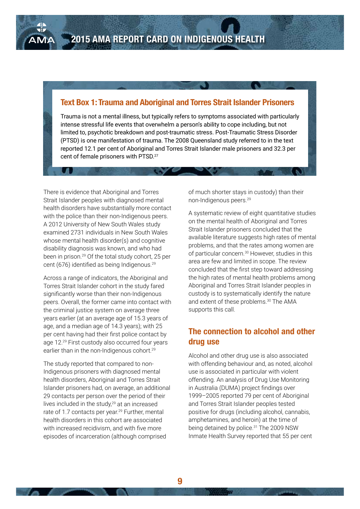#### **Text Box 1: Trauma and Aboriginal and Torres Strait Islander Prisoners**

Trauma is not a mental illness, but typically refers to symptoms associated with particularly intense stressful life events that overwhelm a person's ability to cope including, but not limited to, psychotic breakdown and post-traumatic stress. Post-Traumatic Stress Disorder (PTSD) is one manifestation of trauma. The 2008 Queensland study referred to in the text reported 12.1 per cent of Aboriginal and Torres Strait Islander male prisoners and 32.3 per cent of female prisoners with PTSD.27

There is evidence that Aboriginal and Torres Strait Islander peoples with diagnosed mental health disorders have substantially more contact with the police than their non-Indigenous peers. A 2012 University of New South Wales study examined 2731 individuals in New South Wales whose mental health disorder(s) and cognitive disability diagnosis was known, and who had been in prison.29 Of the total study cohort, 25 per cent (676) identified as being Indigenous.<sup>29</sup>

Across a range of indicators, the Aboriginal and Torres Strait Islander cohort in the study fared significantly worse than their non-Indigenous peers. Overall, the former came into contact with the criminal justice system on average three years earlier (at an average age of 15.3 years of age, and a median age of 14.3 years); with 25 per cent having had their first police contact by age 12.29 First custody also occurred four years earlier than in the non-Indigenous cohort.<sup>29</sup>

The study reported that compared to non-Indigenous prisoners with diagnosed mental health disorders, Aboriginal and Torres Strait Islander prisoners had, on average, an additional 29 contacts per person over the period of their lives included in the study, $29$  at an increased rate of 1.7 contacts per year.<sup>29</sup> Further, mental health disorders in this cohort are associated with increased recidivism, and with five more episodes of incarceration (although comprised

of much shorter stays in custody) than their non-Indigenous peers.29

A systematic review of eight quantitative studies on the mental health of Aboriginal and Torres Strait Islander prisoners concluded that the available literature suggests high rates of mental problems, and that the rates among women are of particular concern.<sup>30</sup> However, studies in this area are few and limited in scope. The review concluded that the first step toward addressing the high rates of mental health problems among Aboriginal and Torres Strait Islander peoples in custody is to systematically identify the nature and extent of these problems.<sup>30</sup> The AMA supports this call.

#### **The connection to alcohol and other drug use**

Alcohol and other drug use is also associated with offending behaviour and, as noted, alcohol use is associated in particular with violent offending. An analysis of Drug Use Monitoring in Australia (DUMA) project findings over 1999–2005 reported 79 per cent of Aboriginal and Torres Strait Islander peoples tested positive for drugs (including alcohol, cannabis, amphetamines, and heroin) at the time of being detained by police.<sup>31</sup> The 2009 NSW Inmate Health Survey reported that 55 per cent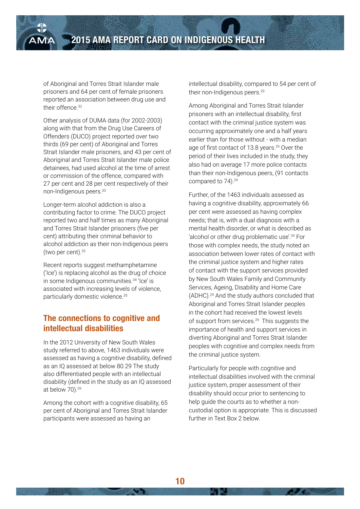of Aboriginal and Torres Strait Islander male prisoners and 64 per cent of female prisoners reported an association between drug use and their offence  $32$ 

Other analysis of DUMA data (for 2002-2003) along with that from the Drug Use Careers of Offenders (DUCO) project reported over two thirds (69 per cent) of Aboriginal and Torres Strait Islander male prisoners, and 43 per cent of Aboriginal and Torres Strait Islander male police detainees, had used alcohol at the time of arrest or commission of the offence, compared with 27 per cent and 28 per cent respectively of their non-Indigenous peers.33

Longer-term alcohol addiction is also a contributing factor to crime. The DUCO project reported two and half times as many Aboriginal and Torres Strait Islander prisoners (five per cent) attributing their criminal behavior to alcohol addiction as their non-Indigenous peers (two per cent). $33$ 

Recent reports suggest methamphetamine ('Ice') is replacing alcohol as the drug of choice in some Indigenous communities.<sup>34</sup> 'Ice' is associated with increasing levels of violence, particularly domestic violence.35

#### **The connections to cognitive and intellectual disabilities**

In the 2012 University of New South Wales study referred to above, 1463 individuals were assessed as having a cognitive disability, defined as an IQ assessed at below 80.29 The study also differentiated people with an intellectual disability (defined in the study as an IQ assessed at below 70).29

Among the cohort with a cognitive disability, 65 per cent of Aboriginal and Torres Strait Islander participants were assessed as having an

intellectual disability, compared to 54 per cent of their non-Indigenous peers.29

Among Aboriginal and Torres Strait Islander prisoners with an intellectual disability, first contact with the criminal justice system was occurring approximately one and a half years earlier than for those without - with a median age of first contact of 13.8 years.<sup>29</sup> Over the period of their lives included in the study, they also had on average 17 more police contacts than their non-Indigenous peers, (91 contacts compared to 74).<sup>29</sup>

Further, of the 1463 individuals assessed as having a cognitive disability, approximately 66 per cent were assessed as having complex needs; that is, with a dual diagnosis with a mental health disorder, or what is described as 'alcohol or other drug problematic use'.29 For those with complex needs, the study noted an association between lower rates of contact with the criminal justice system and higher rates of contact with the support services provided by New South Wales Family and Community Services, Ageing, Disability and Home Care (ADHC).29 And the study authors concluded that Aboriginal and Torres Strait Islander peoples in the cohort had received the lowest levels of support from services.29 This suggests the importance of health and support services in diverting Aboriginal and Torres Strait Islander peoples with cognitive and complex needs from the criminal justice system.

Particularly for people with cognitive and intellectual disabilities involved with the criminal justice system, proper assessment of their disability should occur prior to sentencing to help guide the courts as to whether a noncustodial option is appropriate. This is discussed further in Text Box 2 below.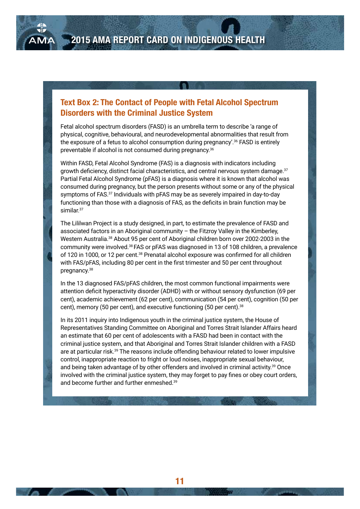#### **Text Box 2: The Contact of People with Fetal Alcohol Spectrum Disorders with the Criminal Justice System**

Fetal alcohol spectrum disorders (FASD) is an umbrella term to describe 'a range of physical, cognitive, behavioural, and neurodevelopmental abnormalities that result from the exposure of a fetus to alcohol consumption during pregnancy'.36 FASD is entirely preventable if alcohol is not consumed during pregnancy.36

Within FASD, Fetal Alcohol Syndrome (FAS) is a diagnosis with indicators including growth deficiency, distinct facial characteristics, and central nervous system damage.<sup>37</sup> Partial Fetal Alcohol Syndrome (pFAS) is a diagnosis where it is known that alcohol was consumed during pregnancy, but the person presents without some or any of the physical symptoms of FAS.37 Individuals with pFAS may be as severely impaired in day-to-day functioning than those with a diagnosis of FAS, as the deficits in brain function may be similar.<sup>37</sup>

The Lililwan Project is a study designed, in part, to estimate the prevalence of FASD and associated factors in an Aboriginal community – the Fitzroy Valley in the Kimberley, Western Australia.38 About 95 per cent of Aboriginal children born over 2002-2003 in the community were involved.38 FAS or pFAS was diagnosed in 13 of 108 children, a prevalence of 120 in 1000, or 12 per cent.38 Prenatal alcohol exposure was confirmed for all children with FAS/pFAS, including 80 per cent in the first trimester and 50 per cent throughout pregnancy.38

In the 13 diagnosed FAS/pFAS children, the most common functional impairments were attention deficit hyperactivity disorder (ADHD) with or without sensory dysfunction (69 per cent), academic achievement (62 per cent), communication (54 per cent), cognition (50 per cent), memory (50 per cent), and executive functioning (50 per cent).38

In its 2011 inquiry into Indigenous youth in the criminal justice system, the House of Representatives Standing Committee on Aboriginal and Torres Strait Islander Affairs heard an estimate that 60 per cent of adolescents with a FASD had been in contact with the criminal justice system, and that Aboriginal and Torres Strait Islander children with a FASD are at particular risk.39 The reasons include offending behaviour related to lower impulsive control, inappropriate reaction to fright or loud noises, inappropriate sexual behaviour, and being taken advantage of by other offenders and involved in criminal activity.39 Once involved with the criminal justice system, they may forget to pay fines or obey court orders, and become further and further enmeshed.39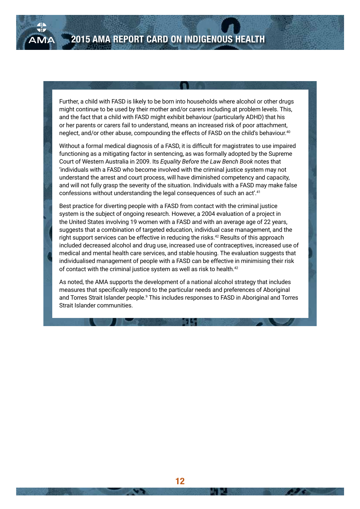Further, a child with FASD is likely to be born into households where alcohol or other drugs might continue to be used by their mother and/or carers including at problem levels. This, and the fact that a child with FASD might exhibit behaviour (particularly ADHD) that his or her parents or carers fail to understand, means an increased risk of poor attachment, neglect, and/or other abuse, compounding the effects of FASD on the child's behaviour.40

Without a formal medical diagnosis of a FASD, it is difficult for magistrates to use impaired functioning as a mitigating factor in sentencing, as was formally adopted by the Supreme Court of Western Australia in 2009. Its *Equality Before the Law Bench Book* notes that 'individuals with a FASD who become involved with the criminal justice system may not understand the arrest and court process, will have diminished competency and capacity, and will not fully grasp the severity of the situation. Individuals with a FASD may make false confessions without understanding the legal consequences of such an act'.41

Best practice for diverting people with a FASD from contact with the criminal justice system is the subject of ongoing research. However, a 2004 evaluation of a project in the United States involving 19 women with a FASD and with an average age of 22 years, suggests that a combination of targeted education, individual case management, and the right support services can be effective in reducing the risks.<sup>42</sup> Results of this approach included decreased alcohol and drug use, increased use of contraceptives, increased use of medical and mental health care services, and stable housing. The evaluation suggests that individualised management of people with a FASD can be effective in minimising their risk of contact with the criminal justice system as well as risk to health.<sup>42</sup>

As noted, the AMA supports the development of a national alcohol strategy that includes measures that specifically respond to the particular needs and preferences of Aboriginal and Torres Strait Islander people.<sup>9</sup> This includes responses to FASD in Aboriginal and Torres Strait Islander communities.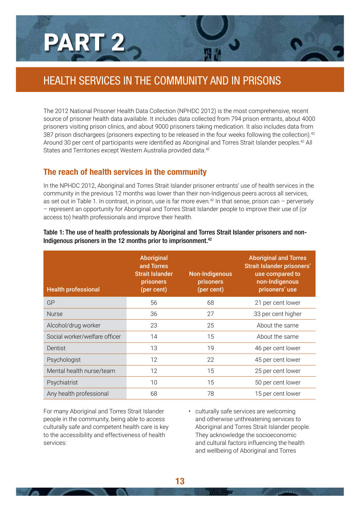## PART 2

## HEALTH SERVICES IN THE COMMUNITY AND IN PRISONS

The 2012 National Prisoner Health Data Collection (NPHDC 2012) is the most comprehensive, recent source of prisoner health data available. It includes data collected from 794 prison entrants, about 4000 prisoners visiting prison clinics, and about 9000 prisoners taking medication. It also includes data from 387 prison dischargees (prisoners expecting to be released in the four weeks following the collection).<sup>42</sup> Around 30 per cent of participants were identified as Aboriginal and Torres Strait Islander peoples.42 All States and Territories except Western Australia provided data.<sup>42</sup>

#### **The reach of health services in the community**

In the NPHDC 2012, Aboriginal and Torres Strait Islander prisoner entrants' use of health services in the community in the previous 12 months was lower than their non-Indigenous peers across all services, as set out in Table 1. In contrast, in prison, use is far more even.<sup>42</sup> In that sense, prison can – perversely – represent an opportunity for Aboriginal and Torres Strait Islander people to improve their use of (or access to) health professionals and improve their health.

| <b>Health professional</b>    | <b>Aboriginal</b><br>and Torres<br><b>Strait Islander</b><br><b>prisoners</b><br>(per cent) | <b>Non-Indigenous</b><br>prisoners<br>(per cent) | <b>Aboriginal and Torres</b><br>Strait Islander prisoners'<br>use compared to<br>non-Indigenous<br>prisoners' use |
|-------------------------------|---------------------------------------------------------------------------------------------|--------------------------------------------------|-------------------------------------------------------------------------------------------------------------------|
| GP                            | 56                                                                                          | 68                                               | 21 per cent lower                                                                                                 |
| <b>Nurse</b>                  | 36                                                                                          | 27                                               | 33 per cent higher                                                                                                |
| Alcohol/drug worker           | 23                                                                                          | 25                                               | About the same                                                                                                    |
| Social worker/welfare officer | 14                                                                                          | 15                                               | About the same                                                                                                    |
| Dentist                       | 13                                                                                          | 19                                               | 46 per cent lower                                                                                                 |
| Psychologist                  | 12                                                                                          | 22                                               | 45 per cent lower                                                                                                 |
| Mental health nurse/team      | 12                                                                                          | 15                                               | 25 per cent lower                                                                                                 |
| Psychiatrist                  | 10                                                                                          | 15                                               | 50 per cent lower                                                                                                 |
| Any health professional       | 68                                                                                          | 78                                               | 15 per cent lower                                                                                                 |

Table 1: The use of health professionals by Aboriginal and Torres Strait Islander prisoners and non-Indigenous prisoners in the 12 months prior to imprisonment.<sup>42</sup>

For many Aboriginal and Torres Strait Islander people in the community, being able to access culturally safe and competent health care is key to the accessibility and effectiveness of health services:

• culturally safe services are welcoming and otherwise unthreatening services to Aboriginal and Torres Strait Islander people. They acknowledge the socioeconomic and cultural factors influencing the health and wellbeing of Aboriginal and Torres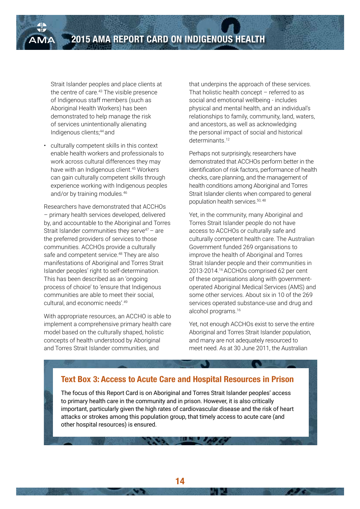Strait Islander peoples and place clients at the centre of care.<sup>43</sup> The visible presence of Indigenous staff members (such as Aboriginal Health Workers) has been demonstrated to help manage the risk of services unintentionally alienating Indigenous clients;44 and

• culturally competent skills in this context enable health workers and professionals to work across cultural differences they may have with an Indigenous client.45 Workers can gain culturally competent skills through experience working with Indigenous peoples and/or by training modules.46

Researchers have demonstrated that ACCHOs – primary health services developed, delivered by, and accountable to the Aboriginal and Torres Strait Islander communities they serve<sup> $47$ </sup> – are the preferred providers of services to those communities. ACCHOs provide a culturally safe and competent service.<sup>48</sup> They are also manifestations of Aboriginal and Torres Strait Islander peoples' right to self-determination. This has been described as an 'ongoing process of choice' to 'ensure that Indigenous communities are able to meet their social, cultural, and economic needs'.<sup>49</sup>

With appropriate resources, an ACCHO is able to implement a comprehensive primary health care model based on the culturally shaped, holistic concepts of health understood by Aboriginal and Torres Strait Islander communities, and

that underpins the approach of these services. That holistic health concept – referred to as social and emotional wellbeing - includes physical and mental health, and an individual's relationships to family, community, land, waters, and ancestors, as well as acknowledging the personal impact of social and historical determinants.<sup>12</sup>

Perhaps not surprisingly, researchers have demonstrated that ACCHOs perform better in the identification of risk factors, performance of health checks, care planning, and the management of health conditions among Aboriginal and Torres Strait Islander clients when compared to general population health services.50, 48

Yet, in the community, many Aboriginal and Torres Strait Islander people do not have access to ACCHOs or culturally safe and culturally competent health care. The Australian Government funded 269 organisations to improve the health of Aboriginal and Torres Strait Islander people and their communities in 2013-2014.16 ACCHOs comprised 62 per cent of these organisations along with governmentoperated Aboriginal Medical Services (AMS) and some other services. About six in 10 of the 269 services operated substance-use and drug and alcohol programs.<sup>16</sup>

Yet, not enough ACCHOs exist to serve the entire Aboriginal and Torres Strait Islander population, and many are not adequately resourced to meet need. As at 30 June 2011, the Australian

#### **Text Box 3: Access to Acute Care and Hospital Resources in Prison**

The focus of this Report Card is on Aboriginal and Torres Strait Islander peoples' access to primary health care in the community and in prison. However, it is also critically important, particularly given the high rates of cardiovascular disease and the risk of heart attacks or strokes among this population group, that timely access to acute care (and other hospital resources) is ensured.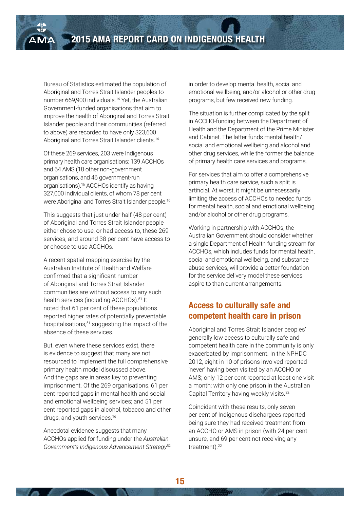Bureau of Statistics estimated the population of Aboriginal and Torres Strait Islander peoples to number 669,900 individuals.16 Yet, the Australian Government-funded organisations that aim to improve the health of Aboriginal and Torres Strait Islander people and their communities (referred to above) are recorded to have only 323,600 Aboriginal and Torres Strait Islander clients.<sup>16</sup>

Of these 269 services, 203 were Indigenous primary health care organisations: 139 ACCHOs and 64 AMS (18 other non-government organisations, and 46 government-run organisations).16 ACCHOs identify as having 327,000 individual clients, of whom 78 per cent were Aboriginal and Torres Strait Islander people.16

This suggests that just under half (48 per cent) of Aboriginal and Torres Strait Islander people either chose to use, or had access to, these 269 services, and around 38 per cent have access to or choose to use ACCHOs.

A recent spatial mapping exercise by the Australian Institute of Health and Welfare confirmed that a significant number of Aboriginal and Torres Strait Islander communities are without access to any such health services (including ACCHOs).<sup>51</sup> It noted that 61 per cent of these populations reported higher rates of potentially preventable hospitalisations,<sup>51</sup> suggesting the impact of the absence of these services.

But, even where these services exist, there is evidence to suggest that many are not resourced to implement the full comprehensive primary health model discussed above. And the gaps are in areas key to preventing imprisonment. Of the 269 organisations, 61 per cent reported gaps in mental health and social and emotional wellbeing services; and 51 per cent reported gaps in alcohol, tobacco and other drugs, and youth services.<sup>16</sup>

Anecdotal evidence suggests that many ACCHOs applied for funding under the *Australian Government's Indigenous Advancement Strategy*<sup>52</sup> in order to develop mental health, social and emotional wellbeing, and/or alcohol or other drug programs, but few received new funding.

The situation is further complicated by the split in ACCHO-funding between the Department of Health and the Department of the Prime Minister and Cabinet. The latter funds mental health/ social and emotional wellbeing and alcohol and other drug services, while the former the balance of primary health care services and programs.

For services that aim to offer a comprehensive primary health care service, such a split is artificial. At worst, it might be unnecessarily limiting the access of ACCHOs to needed funds for mental health, social and emotional wellbeing, and/or alcohol or other drug programs.

Working in partnership with ACCHOs, the Australian Government should consider whether a single Department of Health funding stream for ACCHOs, which includes funds for mental health, social and emotional wellbeing, and substance abuse services, will provide a better foundation for the service delivery model these services aspire to than current arrangements.

#### **Access to culturally safe and competent health care in prison**

Aboriginal and Torres Strait Islander peoples' generally low access to culturally safe and competent health care in the community is only exacerbated by imprisonment. In the NPHDC 2012, eight in 10 of prisons involved reported 'never' having been visited by an ACCHO or AMS; only 12 per cent reported at least one visit a month; with only one prison in the Australian Capital Territory having weekly visits.<sup>22</sup>

Coincident with these results, only seven per cent of Indigenous dischargees reported being sure they had received treatment from an ACCHO or AMS in prison (with 24 per cent unsure, and 69 per cent not receiving any treatment).<sup>22</sup>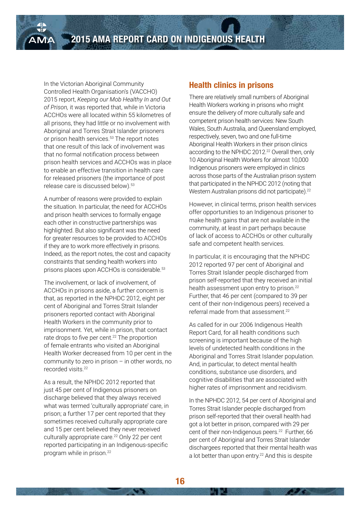**2015 AMA REPORT CARD ON INDIGENOUS HEALTH**

In the Victorian Aboriginal Community Controlled Health Organisation's (VACCHO) 2015 report, *Keeping our Mob Healthy In and Out of Prison,* it was reported that, while in Victoria ACCHOs were all located within 55 kilometres of all prisons, they had little or no involvement with Aboriginal and Torres Strait Islander prisoners or prison health services.<sup>53</sup> The report notes that one result of this lack of involvement was that no formal notification process between prison health services and ACCHOs was in place to enable an effective transition in health care for released prisoners (the importance of post release care is discussed below).53

A number of reasons were provided to explain the situation. In particular, the need for ACCHOs and prison health services to formally engage each other in constructive partnerships was highlighted. But also significant was the need for greater resources to be provided to ACCHOs if they are to work more effectively in prisons. Indeed, as the report notes, the cost and capacity constraints that sending health workers into prisons places upon ACCHOs is considerable.<sup>53</sup>

The involvement, or lack of involvement, of ACCHOs in prisons aside, a further concern is that, as reported in the NPHDC 2012, eight per cent of Aboriginal and Torres Strait Islander prisoners reported contact with Aboriginal Health Workers in the community prior to imprisonment. Yet, while in prison, that contact rate drops to five per cent.<sup>22</sup> The proportion of female entrants who visited an Aboriginal Health Worker decreased from 10 per cent in the community to zero in prison – in other words, no recorded visits.<sup>22</sup>

As a result, the NPHDC 2012 reported that just 45 per cent of Indigenous prisoners on discharge believed that they always received what was termed 'culturally appropriate' care, in prison; a further 17 per cent reported that they sometimes received culturally appropriate care and 15 per cent believed they never received culturally appropriate care.<sup>22</sup> Only 22 per cent reported participating in an Indigenous-specific program while in prison.<sup>22</sup>

#### **Health clinics in prisons**

There are relatively small numbers of Aboriginal Health Workers working in prisons who might ensure the delivery of more culturally safe and competent prison health services: New South Wales, South Australia, and Queensland employed, respectively, seven, two and one full-time Aboriginal Health Workers in their prison clinics according to the NPHDC 2012.<sup>22</sup> Overall then, only 10 Aboriginal Health Workers for almost 10,000 Indigenous prisoners were employed in clinics across those parts of the Australian prison system that participated in the NPHDC 2012 (noting that Western Australian prisons did not participate).<sup>22</sup>

However, in clinical terms, prison health services offer opportunities to an Indigenous prisoner to make health gains that are not available in the community, at least in part perhaps because of lack of access to ACCHOs or other culturally safe and competent health services.

In particular, it is encouraging that the NPHDC 2012 reported 97 per cent of Aboriginal and Torres Strait Islander people discharged from prison self-reported that they received an initial health assessment upon entry to prison.<sup>22</sup> Further, that 46 per cent (compared to 39 per cent of their non-Indigenous peers) received a referral made from that assessment.22

As called for in our 2006 Indigenous Health Report Card, for all health conditions such screening is important because of the high levels of undetected health conditions in the Aboriginal and Torres Strait Islander population. And, in particular, to detect mental health conditions, substance use disorders, and cognitive disabilities that are associated with higher rates of imprisonment and recidivism.

In the NPHDC 2012, 54 per cent of Aboriginal and Torres Strait Islander people discharged from prison self-reported that their overall health had got a lot better in prison, compared with 29 per cent of their non-Indigenous peers.<sup>22</sup> Further, 66 per cent of Aboriginal and Torres Strait Islander dischargees reported that their mental health was a lot better than upon entry.<sup>22</sup> And this is despite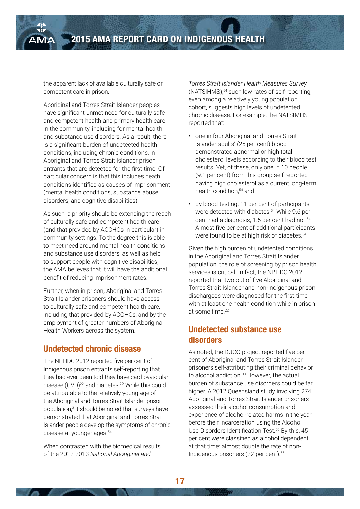the apparent lack of available culturally safe or competent care in prison.

Aboriginal and Torres Strait Islander peoples have significant unmet need for culturally safe and competent health and primary health care in the community, including for mental health and substance use disorders. As a result, there is a significant burden of undetected health conditions, including chronic conditions, in Aboriginal and Torres Strait Islander prison entrants that are detected for the first time. Of particular concern is that this includes heath conditions identified as causes of imprisonment (mental health conditions, substance abuse disorders, and cognitive disabilities).

As such, a priority should be extending the reach of culturally safe and competent health care (and that provided by ACCHOs in particular) in community settings. To the degree this is able to meet need around mental health conditions and substance use disorders, as well as help to support people with cognitive disabilities, the AMA believes that it will have the additional benefit of reducing imprisonment rates.

Further, when in prison, Aboriginal and Torres Strait Islander prisoners should have access to culturally safe and competent health care, including that provided by ACCHOs, and by the employment of greater numbers of Aboriginal Health Workers across the system.

#### **Undetected chronic disease**

The NPHDC 2012 reported five per cent of Indigenous prison entrants self-reporting that they had ever been told they have cardiovascular disease (CVD)<sup>22</sup> and diabetes.<sup>22</sup> While this could be attributable to the relatively young age of the Aboriginal and Torres Strait Islander prison population,<sup>3</sup> it should be noted that surveys have demonstrated that Aboriginal and Torres Strait Islander people develop the symptoms of chronic disease at younger ages.<sup>54</sup>

When contrasted with the biomedical results of the 2012-2013 *National Aboriginal and* 

*Torres Strait Islander Health Measures Survey* (NATSIHMS),54 such low rates of self-reporting, even among a relatively young population cohort, suggests high levels of undetected chronic disease. For example, the NATSIMHS reported that:

- one in four Aboriginal and Torres Strait Islander adults' (25 per cent) blood demonstrated abnormal or high total cholesterol levels according to their blood test results. Yet, of these, only one in 10 people (9.1 per cent) from this group self-reported having high cholesterol as a current long-term health condition;<sup>54</sup> and
- by blood testing, 11 per cent of participants were detected with diabetes.<sup>54</sup> While 9.6 per cent had a diagnosis, 1.5 per cent had not.<sup>54</sup> Almost five per cent of additional participants were found to be at high risk of diabetes.<sup>54</sup>

Given the high burden of undetected conditions in the Aboriginal and Torres Strait Islander population, the role of screening by prison health services is critical. In fact, the NPHDC 2012 reported that two out of five Aboriginal and Torres Strait Islander and non-Indigenous prison dischargees were diagnosed for the first time with at least one health condition while in prison at some time.<sup>22</sup>

#### **Undetected substance use disorders**

As noted, the DUCO project reported five per cent of Aboriginal and Torres Strait Islander prisoners self-attributing their criminal behavior to alcohol addiction.<sup>33</sup> However, the actual burden of substance use disorders could be far higher. A 2012 Queensland study involving 274 Aboriginal and Torres Strait Islander prisoners assessed their alcohol consumption and experience of alcohol-related harms in the year before their incarceration using the Alcohol Use Disorders Identification Test.<sup>55</sup> By this, 45 per cent were classified as alcohol dependent at that time: almost double the rate of non-Indigenous prisoners (22 per cent).<sup>55</sup>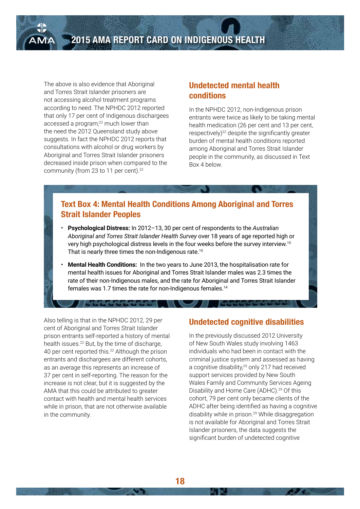The above is also evidence that Aboriginal and Torres Strait Islander prisoners are not accessing alcohol treatment programs according to need. The NPHDC 2012 reported that only 17 per cent of Indigenous dischargees accessed a program<sup>?2</sup> much lower than the need the 2012 Queensland study above suggests. In fact the NPHDC 2012 reports that consultations with alcohol or drug workers by Aboriginal and Torres Strait Islander prisoners decreased inside prison when compared to the community (from 23 to 11 per cent).<sup>22</sup>

#### **Undetected mental health conditions**

In the NPHDC 2012, non-Indigenous prison entrants were twice as likely to be taking mental health medication (26 per cent and 13 per cent, respectively)<sup>22</sup> despite the significantly greater burden of mental health conditions reported among Aboriginal and Torres Strait Islander people in the community, as discussed in Text Box 4 below.

#### **Text Box 4: Mental Health Conditions Among Aboriginal and Torres Strait Islander Peoples**

- **Psychological Distress:** In 2012–13, 30 per cent of respondents to the *Australian Aboriginal and Torres Strait Islander Health Survey* over 18 years of age reported high or very high psychological distress levels in the four weeks before the survey interview.15 That is nearly three times the non-Indigenous rate.<sup>15</sup>
- **Mental Health Conditions:** In the two years to June 2013, the hospitalisation rate for mental health issues for Aboriginal and Torres Strait Islander males was 2.3 times the rate of their non-Indigenous males, and the rate for Aboriginal and Torres Strait Islander females was 1.7 times the rate for non-Indigenous females.14

Also telling is that in the NPHDC 2012, 29 per cent of Aboriginal and Torres Strait Islander prison entrants self-reported a history of mental health issues.<sup>22</sup> But, by the time of discharge, 40 per cent reported this.22 Although the prison entrants and dischargees are different cohorts, as an average this represents an increase of 37 per cent in self-reporting. The reason for the increase is not clear, but it is suggested by the AMA that this could be attributed to greater contact with health and mental health services while in prison, that are not otherwise available in the community.

#### **Undetected cognitive disabilities**

In the previously discussed 2012 University of New South Wales study involving 1463 individuals who had been in contact with the criminal justice system and assessed as having a cognitive disability,<sup>29</sup> only 217 had received support services provided by New South Wales Family and Community Services Ageing Disability and Home Care (ADHC).<sup>29</sup> Of this cohort, 79 per cent only became clients of the ADHC after being identified as having a cognitive disability while in prison.29 While disaggregation is not available for Aboriginal and Torres Strait Islander prisoners, the data suggests the significant burden of undetected cognitive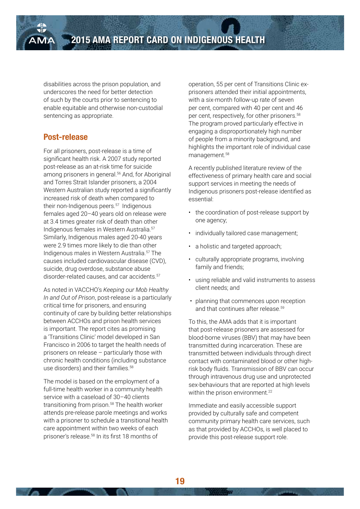disabilities across the prison population, and underscores the need for better detection of such by the courts prior to sentencing to enable equitable and otherwise non-custodial sentencing as appropriate.

#### **Post-release**

For all prisoners, post-release is a time of significant health risk. A 2007 study reported post-release as an at-risk time for suicide among prisoners in general.<sup>56</sup> And, for Aboriginal and Torres Strait Islander prisoners, a 2004 Western Australian study reported a significantly increased risk of death when compared to their non-Indigenous peers.<sup>57</sup> Indigenous females aged 20–40 years old on release were at 3.4 times greater risk of death than other Indigenous females in Western Australia.57 Similarly, Indigenous males aged 20-40 years were 2.9 times more likely to die than other Indigenous males in Western Australia.57 The causes included cardiovascular disease (CVD), suicide, drug overdose, substance abuse disorder-related causes, and car accidents.57

As noted in VACCHO's *Keeping our Mob Healthy In and Out of Prison*, post-release is a particularly critical time for prisoners, and ensuring continuity of care by building better relationships between ACCHOs and prison health services is important. The report cites as promising a 'Transitions Clinic' model developed in San Francisco in 2006 to target the health needs of prisoners on release – particularly those with chronic health conditions (including substance use disorders) and their families  $58$ 

The model is based on the employment of a full-time health worker in a community health service with a caseload of 30–40 clients transitioning from prison.<sup>58</sup> The health worker attends pre-release parole meetings and works with a prisoner to schedule a transitional health care appointment within two weeks of each prisoner's release.58 In its first 18 months of

operation, 55 per cent of Transitions Clinic exprisoners attended their initial appointments, with a six-month follow-up rate of seven per cent, compared with 40 per cent and 46 per cent, respectively, for other prisoners.58 The program proved particularly effective in engaging a disproportionately high number of people from a minority background, and highlights the important role of individual case management.58

A recently published literature review of the effectiveness of primary health care and social support services in meeting the needs of Indigenous prisoners post-release identified as essential:

- the coordination of post-release support by one agency;
- individually tailored case management;
- a holistic and targeted approach;
- culturally appropriate programs, involving family and friends;
- using reliable and valid instruments to assess client needs; and
- planning that commences upon reception and that continues after release.<sup>59</sup>

To this, the AMA adds that it is important that post-release prisoners are assessed for blood-borne viruses (BBV) that may have been transmitted during incarceration. These are transmitted between individuals through direct contact with contaminated blood or other highrisk body fluids. Transmission of BBV can occur through intravenous drug use and unprotected sex-behaviours that are reported at high levels within the prison environment.<sup>22</sup>

Immediate and easily accessible support provided by culturally safe and competent community primary health care services, such as that provided by ACCHOs, is well placed to provide this post-release support role.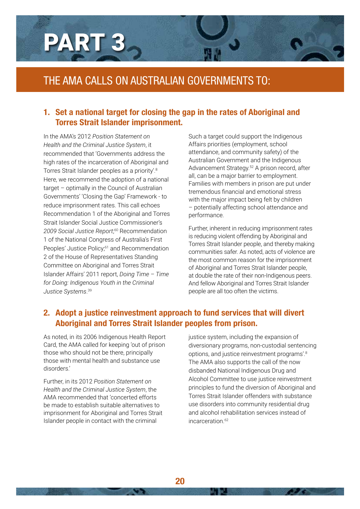

### THE AMA CALLS ON AUSTRALIAN GOVERNMENTS TO:

#### **1. Set a national target for closing the gap in the rates of Aboriginal and Torres Strait Islander imprisonment.**

In the AMA's 2012 *Position Statement on Health and the Criminal Justice System*, it recommended that 'Governments address the high rates of the incarceration of Aboriginal and Torres Strait Islander peoples as a priority'.8 Here, we recommend the adoption of a national target – optimally in the Council of Australian Governments' 'Closing the Gap' Framework - to reduce imprisonment rates. This call echoes Recommendation 1 of the Aboriginal and Torres Strait Islander Social Justice Commissioner's *2009 Social Justice Report*; 60 Recommendation 1 of the National Congress of Australia's First Peoples' Justice Policy;<sup>61</sup> and Recommendation 2 of the House of Representatives Standing Committee on Aboriginal and Torres Strait Islander Affairs' 2011 report, *Doing Time – Time for Doing: Indigenous Youth in the Criminal Justice Systems*. 39

Such a target could support the Indigenous Affairs priorities (employment, school attendance, and community safety) of the Australian Government and the Indigenous Advancement Strategy.52 A prison record, after all, can be a major barrier to employment. Families with members in prison are put under tremendous financial and emotional stress with the major impact being felt by children – potentially affecting school attendance and performance.

Further, inherent in reducing imprisonment rates is reducing violent offending by Aboriginal and Torres Strait Islander people, and thereby making communities safer. As noted, acts of violence are the most common reason for the imprisonment of Aboriginal and Torres Strait Islander people, at double the rate of their non-Indigenous peers. And fellow Aboriginal and Torres Strait Islander people are all too often the victims.

#### **2. Adopt a justice reinvestment approach to fund services that will divert Aboriginal and Torres Strait Islander peoples from prison.**

As noted, in its 2006 Indigenous Health Report Card, the AMA called for keeping 'out of prison those who should not be there, principally those with mental health and substance use disorders.'

Further, in its 2012 *Position Statement on Health and the Criminal Justice System*, the AMA recommended that 'concerted efforts be made to establish suitable alternatives to imprisonment for Aboriginal and Torres Strait Islander people in contact with the criminal

justice system, including the expansion of diversionary programs, non-custodial sentencing options, and justice reinvestment programs'.8 The AMA also supports the call of the now disbanded National Indigenous Drug and Alcohol Committee to use justice reinvestment principles to fund the diversion of Aboriginal and Torres Strait Islander offenders with substance use disorders into community residential drug and alcohol rehabilitation services instead of incarceration 62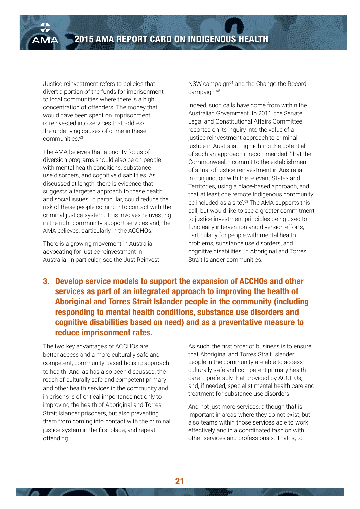Justice reinvestment refers to policies that divert a portion of the funds for imprisonment to local communities where there is a high concentration of offenders. The money that would have been spent on imprisonment is reinvested into services that address the underlying causes of crime in these communities.63

The AMA believes that a priority focus of diversion programs should also be on people with mental health conditions, substance use disorders, and cognitive disabilities. As discussed at length, there is evidence that suggests a targeted approach to these health and social issues, in particular, could reduce the risk of these people coming into contact with the criminal justice system. This involves reinvesting in the right community support services and, the AMA believes, particularly in the ACCHOs.

There is a growing movement in Australia advocating for justice reinvestment in Australia. In particular, see the Just Reinvest NSW campaign<sup>64</sup> and the Change the Record campaign.<sup>65</sup>

Indeed, such calls have come from within the Australian Government. In 2011, the Senate Legal and Constitutional Affairs Committee reported on its inquiry into the value of a justice reinvestment approach to criminal justice in Australia. Highlighting the potential of such an approach it recommended: 'that the Commonwealth commit to the establishment of a trial of justice reinvestment in Australia in conjunction with the relevant States and Territories, using a place-based approach, and that at least one remote Indigenous community be included as a site'.<sup>63</sup> The AMA supports this call, but would like to see a greater commitment to justice investment principles being used to fund early intervention and diversion efforts, particularly for people with mental health problems, substance use disorders, and cognitive disabilities, in Aboriginal and Torres Strait Islander communities.

**3. Develop service models to support the expansion of ACCHOs and other services as part of an integrated approach to improving the health of Aboriginal and Torres Strait Islander people in the community (including responding to mental health conditions, substance use disorders and cognitive disabilities based on need) and as a preventative measure to reduce imprisonment rates.**

The two key advantages of ACCHOs are better access and a more culturally safe and competent, community-based holistic approach to health. And, as has also been discussed, the reach of culturally safe and competent primary and other health services in the community and in prisons is of critical importance not only to improving the health of Aboriginal and Torres Strait Islander prisoners, but also preventing them from coming into contact with the criminal justice system in the first place, and repeat offending.

As such, the first order of business is to ensure that Aboriginal and Torres Strait Islander people in the community are able to access culturally safe and competent primary health care – preferably that provided by ACCHOs, and, if needed, specialist mental health care and treatment for substance use disorders.

And not just more services, although that is important in areas where they do not exist, but also teams within those services able to work effectively and in a coordinated fashion with other services and professionals. That is, to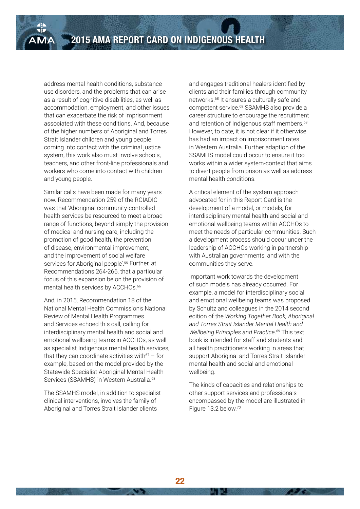address mental health conditions, substance use disorders, and the problems that can arise as a result of cognitive disabilities, as well as accommodation, employment, and other issues that can exacerbate the risk of imprisonment associated with these conditions. And, because of the higher numbers of Aboriginal and Torres Strait Islander children and young people coming into contact with the criminal justice system, this work also must involve schools, teachers, and other front-line professionals and workers who come into contact with children and young people.

Similar calls have been made for many years now. Recommendation 259 of the RCIADIC was that 'Aboriginal community-controlled health services be resourced to meet a broad range of functions, beyond simply the provision of medical and nursing care, including the promotion of good health, the prevention of disease, environmental improvement, and the improvement of social welfare services for Aboriginal people'.<sup>66</sup> Further, at Recommendations 264-266, that a particular focus of this expansion be on the provision of mental health services by ACCHOs.<sup>66</sup>

And, in 2015, Recommendation 18 of the National Mental Health Commission's National Review of Mental Health Programmes and Services echoed this call, calling for interdisciplinary mental health and social and emotional wellbeing teams in ACCHOs, as well as specialist Indigenous mental health services, that they can coordinate activities with $67 -$  for example, based on the model provided by the Statewide Specialist Aboriginal Mental Health Services (SSAMHS) in Western Australia.<sup>68</sup>

The SSAMHS model, in addition to specialist clinical interventions, involves the family of Aboriginal and Torres Strait Islander clients

and engages traditional healers identified by clients and their families through community networks.68 It ensures a culturally safe and competent service.68 SSAMHS also provide a career structure to encourage the recruitment and retention of Indigenous staff members.<sup>68</sup> However, to date, it is not clear if it otherwise has had an impact on imprisonment rates in Western Australia. Further adaption of the SSAMHS model could occur to ensure it too works within a wider system-context that aims to divert people from prison as well as address mental health conditions.

A critical element of the system approach advocated for in this Report Card is the development of a model, or models, for interdisciplinary mental health and social and emotional wellbeing teams within ACCHOs to meet the needs of particular communities. Such a development process should occur under the leadership of ACCHOs working in partnership with Australian governments, and with the communities they serve.

Important work towards the development of such models has already occurred. For example, a model for interdisciplinary social and emotional wellbeing teams was proposed by Schultz and colleagues in the 2014 second edition of the *Working Together Book, Aboriginal and Torres Strait Islander Mental Health and Wellbeing Principles and Practice*. 69 This text book is intended for staff and students and all health practitioners working in areas that support Aboriginal and Torres Strait Islander mental health and social and emotional wellbeing.

The kinds of capacities and relationships to other support services and professionals encompassed by the model are illustrated in Figure 13.2 below.70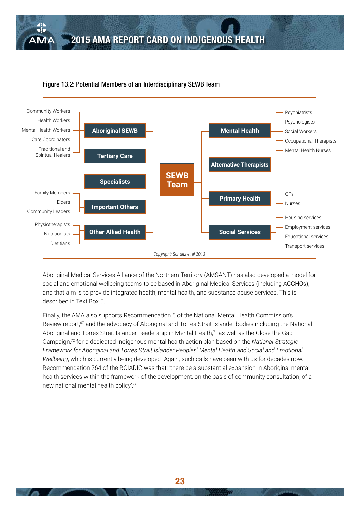

#### Figure 13.2: Potential Members of an Interdisciplinary SEWB Team

Aboriginal Medical Services Alliance of the Northern Territory (AMSANT) has also developed a model for social and emotional wellbeing teams to be based in Aboriginal Medical Services (including ACCHOs), and that aim is to provide integrated health, mental health, and substance abuse services. This is described in Text Box 5.

Finally, the AMA also supports Recommendation 5 of the National Mental Health Commission's Review report,<sup>67</sup> and the advocacy of Aboriginal and Torres Strait Islander bodies including the National Aboriginal and Torres Strait Islander Leadership in Mental Health,<sup>71</sup> as well as the Close the Gap Campaign,72 for a dedicated Indigenous mental health action plan based on the *National Strategic Framework for Aboriginal and Torres Strait Islander Peoples' Mental Health and Social and Emotional Wellbeing*, which is currently being developed. Again, such calls have been with us for decades now. Recommendation 264 of the RCIADIC was that: 'there be a substantial expansion in Aboriginal mental health services within the framework of the development, on the basis of community consultation, of a new national mental health policy'.66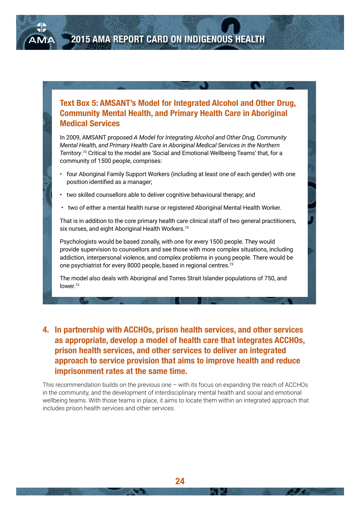#### **Text Box 5: AMSANT's Model for Integrated Alcohol and Other Drug, Community Mental Health, and Primary Health Care in Aboriginal Medical Services**

In 2009, AMSANT proposed *A Model for Integrating Alcohol and Other Drug, Community Mental Health, and Primary Health Care in Aboriginal Medical Services in the Northern Territory*. 73 Critical to the model are 'Social and Emotional Wellbeing Teams' that, for a community of 1500 people, comprises:

- four Aboriginal Family Support Workers (including at least one of each gender) with one position identified as a manager;
- two skilled counsellors able to deliver cognitive behavioural therapy; and
- two of either a mental health nurse or registered Aboriginal Mental Health Worker.

That is in addition to the core primary health care clinical staff of two general practitioners, six nurses, and eight Aboriginal Health Workers.<sup>73</sup>

Psychologists would be based zonally, with one for every 1500 people. They would provide supervision to counsellors and see those with more complex situations, including addiction, interpersonal violence, and complex problems in young people. There would be one psychiatrist for every 8000 people, based in regional centres.73

The model also deals with Aboriginal and Torres Strait Islander populations of 750, and lower.<sup>73</sup>

#### **4. In partnership with ACCHOs, prison health services, and other services as appropriate, develop a model of health care that integrates ACCHOs, prison health services, and other services to deliver an integrated approach to service provision that aims to improve health and reduce imprisonment rates at the same time.**

This recommendation builds on the previous one – with its focus on expanding the reach of ACCHOs in the community, and the development of interdisciplinary mental health and social and emotional wellbeing teams. With those teams in place, it aims to locate them within an integrated approach that includes prison health services and other services.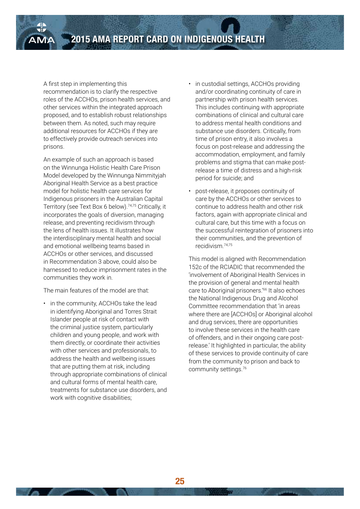#### A first step in implementing this

recommendation is to clarify the respective roles of the ACCHOs, prison health services, and other services within the integrated approach proposed, and to establish robust relationships between them. As noted, such may require additional resources for ACCHOs if they are to effectively provide outreach services into prisons.

An example of such an approach is based on the Winnunga Holistic Health Care Prison Model developed by the Winnunga Nimmityjah Aboriginal Health Service as a best practice model for holistic health care services for Indigenous prisoners in the Australian Capital Territory (see Text Box 6 below).74,75 Critically, it incorporates the goals of diversion, managing release, and preventing recidivism through the lens of health issues. It illustrates how the interdisciplinary mental health and social and emotional wellbeing teams based in ACCHOs or other services, and discussed in Recommendation 3 above, could also be harnessed to reduce imprisonment rates in the communities they work in.

The main features of the model are that:

• in the community, ACCHOs take the lead in identifying Aboriginal and Torres Strait Islander people at risk of contact with the criminal justice system, particularly children and young people, and work with them directly, or coordinate their activities with other services and professionals, to address the health and wellbeing issues that are putting them at risk, including through appropriate combinations of clinical and cultural forms of mental health care, treatments for substance use disorders, and work with cognitive disabilities;

- in custodial settings, ACCHOs providing and/or coordinating continuity of care in partnership with prison health services. This includes continuing with appropriate combinations of clinical and cultural care to address mental health conditions and substance use disorders. Critically, from time of prison entry, it also involves a focus on post-release and addressing the accommodation, employment, and family problems and stigma that can make postrelease a time of distress and a high-risk period for suicide; and
- post-release, it proposes continuity of care by the ACCHOs or other services to continue to address health and other risk factors, again with appropriate clinical and cultural care, but this time with a focus on the successful reintegration of prisoners into their communities, and the prevention of recidivism.74,75

This model is aligned with Recommendation 152c of the RCIADIC that recommended the 'involvement of Aboriginal Health Services in the provision of general and mental health care to Aboriginal prisoners.<sup>'66</sup> It also echoes the National Indigenous Drug and Alcohol Committee recommendation that 'in areas where there are [ACCHOs] or Aboriginal alcohol and drug services, there are opportunities to involve these services in the health care of offenders, and in their ongoing care postrelease.' It highlighted in particular, the ability of these services to provide continuity of care from the community to prison and back to community settings.76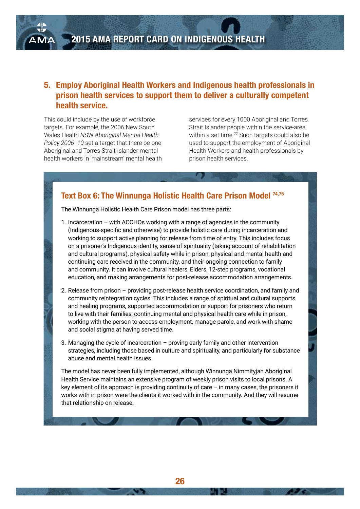#### **5. Employ Aboriginal Health Workers and Indigenous health professionals in prison health services to support them to deliver a culturally competent health service.**

This could include by the use of workforce targets. For example, the 2006 New South Wales Health *N*SW *Aboriginal Mental Health Policy 2006 -10* set a target that there be one Aboriginal and Torres Strait Islander mental health workers in 'mainstream' mental health

services for every 1000 Aboriginal and Torres Strait Islander people within the service-area within a set time.<sup>77</sup> Such targets could also be used to support the employment of Aboriginal Health Workers and health professionals by prison health services.

#### **Text Box 6: The Winnunga Holistic Health Care Prison Model 74,75**

The Winnunga Holistic Health Care Prison model has three parts:

- 1. Incarceration with ACCHOs working with a range of agencies in the community (Indigenous-specific and otherwise) to provide holistic care during incarceration and working to support active planning for release from time of entry. This includes focus on a prisoner's Indigenous identity, sense of spirituality (taking account of rehabilitation and cultural programs), physical safety while in prison, physical and mental health and continuing care received in the community, and their ongoing connection to family and community. It can involve cultural healers, Elders, 12-step programs, vocational education, and making arrangements for post-release accommodation arrangements.
- 2. Release from prison providing post-release health service coordination, and family and community reintegration cycles. This includes a range of spiritual and cultural supports and healing programs, supported accommodation or support for prisoners who return to live with their families, continuing mental and physical health care while in prison, working with the person to access employment, manage parole, and work with shame and social stigma at having served time.
- 3. Managing the cycle of incarceration proving early family and other intervention strategies, including those based in culture and spirituality, and particularly for substance abuse and mental health issues.

The model has never been fully implemented, although Winnunga Nimmityjah Aboriginal Health Service maintains an extensive program of weekly prison visits to local prisons. A key element of its approach is providing continuity of care – in many cases, the prisoners it works with in prison were the clients it worked with in the community. And they will resume that relationship on release.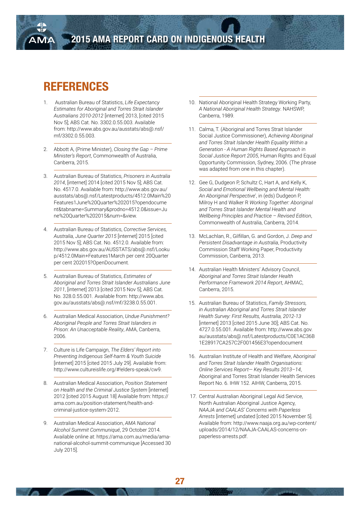## **REFERENCES**

- 1. Australian Bureau of Statistics, *Life Expectancy Estimates for Aboriginal and Torres Strait Islander Australians 2010-2012* [internet] 2013, [cited 2015 Nov 5]; ABS Cat. No. 3302.0.55.003. Available from: http://www.abs.gov.au/ausstats/abs@.nsf/ mf/3302.0.55.003.
- 2. Abbott A, (Prime Minister), *Closing the Gap Prime Minister's Report*, Commonwealth of Australia, Canberra, 2015.
- 3. Australian Bureau of Statistics, *Prisoners in Australia 2014*, [internet] 2014 [cited 2015 Nov 5]; ABS Cat. No. 4517.0. Available from: http://www.abs.gov.au/ ausstats/abs@.nsf/Latestproducts/4512.0Main%20 Features1June%20Quarter%202015?opendocume nt&tabname=Summary&prodno=4512.0&issue=Ju ne%20Quarter%202015&num=&view.
- 4. Australian Bureau of Statistics, *Corrective Services, Australia, June Quarter 2015* [internet] 2015 [cited 2015 Nov 5]; ABS Cat. No. 4512.0. Available from: http://www.abs.gov.au/AUSSTATS/abs@.nsf/Looku p/4512.0Main+Features1March per cent 20Quarter per cent 202015?OpenDocument.
- 5. Australian Bureau of Statistics, *Estimates of Aboriginal and Torres Strait Islander Australians June 2011*, [internet] 2013 [cited 2015 Nov 5]; ABS Cat. No. 328.0.55.001. Available from: http://www.abs. gov.au/ausstats/abs@.nsf/mf/3238.0.55.001.
- 6. Australian Medical Association, *Undue Punishment? Aboriginal People and Torres Strait Islanders in Prison: An Unacceptable Reality*, AMA, Canberra, 2006.
- 7. Culture is Life Campaign, *The Elders' Report into Preventing Indigenous Self-harm & Youth Suicide* [internet] 2015 [cited 2015 July 29]. Available from: http://www.cultureislife.org/#!elders-speak/cw9.
- 8. Australian Medical Association, *Position Statement on Health and the Criminal Justice System* [internet] 2012 [cited 2015 August 18] Available from: https:// ama.com.au/position-statement/health-andcriminal-justice-system-2012.
- 9. Australian Medical Association, *AMA National Alcohol Summit Communiqué*, 29 October 2014. Available online at: https://ama.com.au/media/amanational-alcohol-summit-communique [Accessed 30 July 2015].
- 10. National Aboriginal Health Strategy Working Party, *A National Aboriginal Health Strategy*. NAHSWP, Canberra, 1989.
- 11. Calma, T. (Aboriginal and Torres Strait Islander Social Justice Commissioner), *Achieving Aboriginal and Torres Strait Islander Health Equality Within a Generation - A Human Rights Based Approach* in *Social Justice Report 2005*, Human Rights and Equal Opportunity Commission, Sydney, 2006. (The phrase was adapted from one in this chapter).
- 12. Gee G, Dudgeon P, Schultz C, Hart A, and Kelly K, *Social and Emotional Wellbeing and Mental Health: An Aboriginal Perspective*', in (eds) Dudgeon P, Milroy H and Walker R *Working Together: Aboriginal and Torres Strait Islander Mental Health and Wellbeing Principles and Practice – Revised Edition*, Commonwealth of Australia, Canberra, 2014.
- 13. McLachlan, R., Gilfillan, G. and Gordon, J. *Deep and Persistent Disadvantage in Australia*, Productivity Commission Staff Working Paper, Productivity Commission, Canberra, 2013.
- 14. Australian Health Ministers' Advisory Council, *Aboriginal and Torres Strait Islander Health Performance Framework 2014 Report*, AHMAC, Canberra, 2015.
- 15. Australian Bureau of Statistics, *Family Stressors, in Australian Aboriginal and Torres Strait Islander Health Survey: First Results, Australia, 2012-13* [internet] 2013 [cited 2015 June 30]; ABS Cat. No. 4727.0.55.001. Available from: http://www.abs.gov. au/ausstats/abs@.nsf/Latestproducts/C0E1AC36B 1E28917CA257C2F001456E3?opendocument
- 16. Australian Institute of Health and Welfare, A*boriginal and Torres Strait Islander Health Organisations: Online Services Report— Key Results 2013–14*, Aboriginal and Torres Strait Islander Health Services Report No. 6. IHW 152. AIHW, Canberra, 2015.
- 17. Central Australian Aboriginal Legal Aid Service, North Australian Aboriginal Justice Agency, *NAAJA and CAALAS' Concerns with Paperless Arrests* [internet] undated [cited 2015 November 5]. Available from: http://www.naaja.org.au/wp-content/ uploads/2014/12/NAAJA-CAALAS-concerns-onpaperless-arrests.pdf.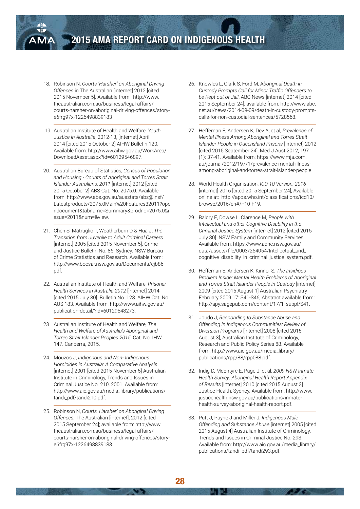

- 18. Robinson N, *Courts 'Harsher' on Aboriginal Driving Offences* in The Australian [internet] 2012 [cited 2015 November 5]. Available from: http://www. theaustralian.com.au/business/legal-affairs/ courts-harsher-on-aboriginal-driving-offences/storye6frg97x-1226498839183
- 19. Australian Institute of Health and Welfare, *Youth Justice in Australia*, 2012-13, [internet] April 2014 [cited 2015 October 2] AIHW Bulletin 120. Available from: http://www.aihw.gov.au/WorkArea/ DownloadAsset.aspx?id=60129546897.
- 20. Australian Bureau of Statistics, *Census of Population and Housing - Counts of Aboriginal and Torres Strait Islander Australians, 2011* [internet] 2012 [cited 2015 October 2] ABS Cat. No. 2075.0. Available from: http://www.abs.gov.au/ausstats/abs@.nsf/ Latestproducts/2075.0Main%20Features32011?ope ndocument&tabname=Summary&prodno=2075.0&i ssue=2011&num=&view.
- 21. Chen S, Matruglio T, Weatherburn D & Hua J, *The Transition from Juvenile to Adult Criminal Careers* [internet] 2005 [cited 2015 November 5]. Crime and Justice Bulletin No. 86. Sydney: NSW Bureau of Crime Statistics and Research. Available from: http://www.bocsar.nsw.gov.au/Documents/cjb86. pdf.
- 22. Australian Institute of Health and Welfare, *Prisoner Health Services in Australia 2012* [internet] 2014 [cited 2015 July 30]. Bulletin No. 123. AIHW Cat. No. AUS 183. Available from: http://www.aihw.gov.au/ publication-detail/?id=60129548273.
- 23. Australian Institute of Health and Welfare, *The Health and Welfare of Australia's Aboriginal and Torres Strait Islander Peoples 2015*, Cat. No. IHW 147. Canberra, 2015.
- 24. Mouzos J, *Indigenous and Non- Indigenous Homicides in Australia: A Comparative Analysis* [internet] 2001 [cited 2015 November 5] Australian Institute in Criminology, Trends and Issues in Criminal Justice No. 210, 2001. Available from: http://www.aic.gov.au/media\_library/publications/ tandi\_pdf/tandi210.pdf.
- 25. Robinson N, *Courts 'Harsher' on Aboriginal Driving Offences*, The Australian [internet], 2012 [cited 2015 September 24]; available from: http://www. theaustralian.com.au/business/legal-affairs/ courts-harsher-on-aboriginal-driving-offences/storye6frg97x-1226498839183
- 26. Knowles L, Clark S, Ford M, A*boriginal Death in Custody Prompts Call for Minor Traffic Offenders to be Kept out of Jail*, ABC News [internet] 2014 [cited 2015 September 24]; available from: http://www.abc. net.au/news/2014-09-09/death-in-custody-promptscalls-for-non-custodial-sentences/5728568.
- 27. Heffernan E, Andersen K, Dev A, et al, *Prevalence of Mental Illness Among Aboriginal and Torres Strait Islander People in Queensland Prisons* [internet] 2012 [cited 2015 September 24], Med J Aust 2012; 197 (1): 37-41. Available from: https://www.mja.com. au/journal/2012/197/1/prevalence-mental-illnessamong-aboriginal-and-torres-strait-islander-people.
- 28. World Health Organisation, *ICD-10 Version: 2016* [internet] 2016 [cited 2015 September 24], Available online at: http://apps.who.int/classifications/icd10/ browse/2016/en#/F10-F19.
- 29. Baldry E, Dowse L, Clarence M, *People with Intellectual and other Cognitive Disability in the Criminal Justice System* [internet] 2012 [cited 2015 July 30]. NSW Family and Community Services. Available from: https://www.adhc.nsw.gov.au/\_\_ data/assets/file/0003/264054/Intellectual\_and\_ cognitive\_disability\_in\_criminal\_justice\_system.pdf.
- 30. Heffernan E, Andersen K, Kinner S, *The Insidious Problem Inside: Mental Health Problems of Aboriginal and Torres Strait Islander People in Custody* [internet] 2009 [cited 2015 August 1] Australian Psychiatry February 2009 17: S41-S46, Abstract available from: http://apy.sagepub.com/content/17/1\_suppl/S41.
- 31. Joudo J, *Responding to Substance Abuse and Offending in Indigenous Communities: Review of Diversion Programs* [internet] 2008 [cited 2015 August 3], Australian Institute of Criminology, Research and Public Policy Series 88. Available from: http://www.aic.gov.au/media\_library/ publications/rpp/88/rpp088.pdf.
- 32. Indig D, McEntyre E, Page J, et al, *2009 NSW Inmate Health Survey: Aboriginal Health Report Appendix of Results* [internet] 2010 [cited 2015 August 3] Justice Health, Sydney. Available from: http://www. justicehealth.nsw.gov.au/publications/inmatehealth-survey-aboriginal-health-report.pdf.
- 33. Putt J, Payne J and Miller J, *Indigenous Male Offending and Substance Abuse* [internet] 2005 [cited 2015 August 4] Australian Institute of Criminology, Trends and Issues in Criminal Justice No. 293. Available from: http://www.aic.gov.au/media\_library/ publications/tandi\_pdf/tandi293.pdf.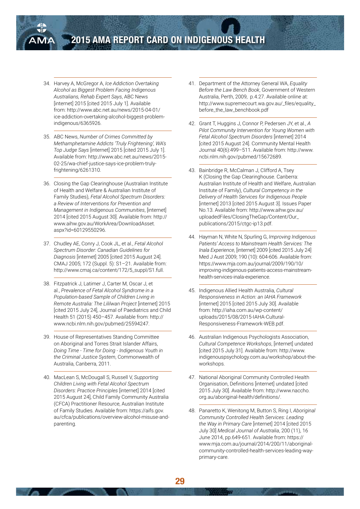

- 34. Harvey A, McGregor A, *Ice Addiction Overtaking Alcohol as Biggest Problem Facing Indigenous Australians, Rehab Expert Says*, ABC News [internet] 2015 [cited 2015 July 1]. Available from: http://www.abc.net.au/news/2015-04-01/ ice-addiction-overtaking-alcohol-biggest-problemindigenous/6365926.
- 35. ABC News, *Number of Crimes Committed by Methamphetamine Addicts 'Truly Frightening', WA's Top Judge Says* [internet] 2015 [cited 2015 July 1]. Available from: http://www.abc.net.au/news/2015- 02-25/wa-chief-justice-says-ice-problem-trulyfrightening/6261310.
- 36. Closing the Gap Clearinghouse (Australian Institute of Health and Welfare & Australian Institute of Family Studies), *Fetal Alcohol Spectrum Disorders: a Review of Interventions for Prevention and Management in Indigenous Communities*, [internet] 2014 [cited 2015 August 30]. Available from: http:// www.aihw.gov.au/WorkArea/DownloadAsset. aspx?id=60129550296.
- 37. Chudley AE, Conry J, Cook JL, et al., *Fetal Alcohol Spectrum Disorder: Canadian Guidelines for Diagnosis* [internet] 2005 [cited 2015 August 24]. CMAJ 2005; 172 (Suppl. 5): S1–21. Available from: http://www.cmaj.ca/content/172/5\_suppl/S1.full.
- 38. Fitzpatrick J, Latimer J, Carter M, Oscar J, et al., *Prevalence of Fetal Alcohol Syndrome in a Population-based Sample of Children Living in Remote Australia: The Lililwan Project* [internet] 2015 [cited 2015 July 24], Journal of Paediatrics and Child Health 51 (2015) 450–457. Available from: http:// www.ncbi.nlm.nih.gov/pubmed/25594247.
- 39. House of Representatives Standing Committee on Aboriginal and Torres Strait Islander Affairs, *Doing Time - Time for Doing - Indigenous Youth in the Criminal Justice System*, Commonwealth of Australia, Canberra, 2011.
- 40. MacLean S, McDougall S, Russell V, *Supporting Children Living with Fetal Alcohol Spectrum Disorders: Practice Principles* [internet] 2014 [cited 2015 August 24], Child Family Community Australia (CFCA) Practitioner Resource, Australian Institute of Family Studies. Available from: https://aifs.gov. au/cfca/publications/overview-alcohol-misuse-andparenting.
- 41. Department of the Attorney General WA, *Equality Before the Law Bench Book*, Government of Western Australia, Perth, 2009, p.4.27. Available online at: http://www.supremecourt.wa.gov.au/\_files/equality\_ before\_the\_law\_benchbook.pdf
- 42. Grant T, Huggins J, Connor P, Pedersen JY, et al., *A Pilot Community Intervention for Young Women with Fetal Alcohol Spectrum Disorders* [internet] 2014 [cited 2015 August 24]. Community Mental Health Journal 40(6):499–511. Available from: http://www. ncbi.nlm.nih.gov/pubmed/15672689.
- 43. Bainbridge R, McCalman J, Clifford A, Tsey K (Closing the Gap Clearinghouse. Canberra: Australian Institute of Health and Welfare, Australian Institute of Family), *Cultural Competency in the Delivery of Health Services for Indigenous People* [internet] 2013 [cited 2015 August 3]. Issues Paper No.13. Available from: http://www.aihw.gov.au/ uploadedFiles/ClosingTheGap/Content/Our\_ publications/2015/ctgc-ip13.pdf.
- 44. Hayman N, White N, Spurling G, *Improving Indigenous Patients' Access to Mainstream Health Services: The Inala Experience*, [internet] 2009 [cited 2015 July 24] Med J Aust 2009; 190 (10): 604-606. Available from: https://www.mja.com.au/journal/2009/190/10/ improving-indigenous-patients-access-mainstreamhealth-services-inala-experience.
- 45. Indigenous Allied Health Australia, *Cultural Responsiveness in Action: an IAHA Framework* [internet] 2015 [cited 2015 July 30]. Available from: http://iaha.com.au/wp-content/ uploads/2015/08/2015-IAHA-Cultural-Responsiveness-Framework-WEB.pdf.
- 46. Australian Indigenous Psychologists Association, *Cultural Competence Workshops*, [internet] undated [cited 2015 July 31]. Available from: http://www. indigenouspsychology.com.au/workshop/about-theworkshops.
- 47. National Aboriginal Community Controlled Health Organisation, Definitions [internet] undated [cited 2015 July 30]. Available from: http://www.naccho. org.au/aboriginal-health/definitions/.
- 48. Panaretto K, Wenitong M, Button S, Ring I, *Aboriginal Community Controlled Health Services: Leading the Way in Primary Care* [internet] 2014 [cited 2015 July 30] *Medical Journal of Australia*, 200 (11), 16 June 2014, pp.649-651. Available from: https:// www.mja.com.au/journal/2014/200/11/aboriginalcommunity-controlled-health-services-leading-wayprimary-care.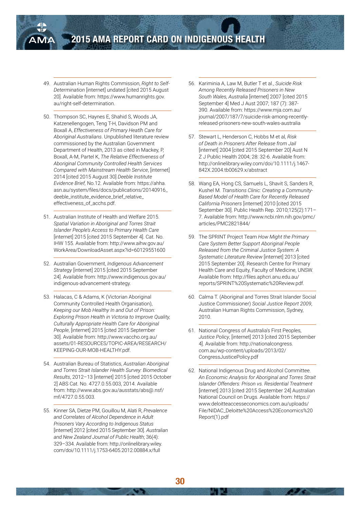

- 49. Australian Human Rights Commission, *Right to Self-Determination* [internet] undated [cited 2015 August 20]. Available from: https://www.humanrights.gov. au/right-self-determination.
- 50. Thompson SC, Haynes E, Shahid S, Woods JA, Katzenellengogen, Teng T-H, Davidson PM and Boxall A, *Effectiveness of Primary Heatlh Care for Aboriginal Australians*. Unpublished literature review commissioned by the Australian Government Department of Health, 2013 as cited in Mackey, P, Boxall, A-M, Partel K, *The Relative Effectiveness of Aboriginal Community Controlled Health Services Compared with Mainstream Health Service*, [internet] 2014 [cited 2015 August 30] *Deeble Institute Evidence Brief,* No.12. Available from: https://ahha. asn.au/system/files/docs/publications/20140916\_ deeble\_institute\_evidence\_brief\_relative\_ effectiveness\_of\_acchs.pdf.
- 51. Australian Institute of Health and Welfare 2015. *Spatial Variation in Aboriginal and Torres Strait Islander People's Access to Primary Health Care*  [internet] 2015 [cited 2015 September 4]. Cat. No. IHW 155. Available from: http://www.aihw.gov.au/ WorkArea/DownloadAsset.aspx?id=60129551600
- 52. Australian Government, *Indigenous Advancement Strategy* [internet] 2015 [cited 2015 September 24]. Available from: http://www.indigenous.gov.au/ indigenous-advancement-strategy.
- 53. Halacas, C & Adams, K (Victorian Aboriginal Community Controlled Health Organisation), *Keeping our Mob Healthy In and Out of Prison: Exploring Prison Health in Victoria to Improve Quality, Culturally Appropriate Health Care for Aboriginal People*, [internet] 2015 [cited 2015 September 30]. Available from: http://www.vaccho.org.au/ assets/01-RESOURCES/TOPIC-AREA/RESEARCH/ KEEPING-OUR-MOB-HEALTHY.pdf.
- 54. Australian Bureau of Statistics, *Australian Aboriginal and Torres Strait Islander Health Survey: Biomedical Results*, 2012–13 [internet] 2015 [cited 2015 October 2] ABS Cat. No. 4727.0.55.003, 2014. Available from: http://www.abs.gov.au/ausstats/abs@.nsf/ mf/4727.0.55.003.
- 55. Kinner SA, Dietze PM, Gouillou M, Alati R, *Prevalence and Correlates of Alcohol Dependence in Adult Prisoners Vary According to Indigenous Status*  [internet] 2012 [cited 2015 September 30]. *Australian and New Zealand Journal of Public Health*; 36(4): 329–334. Available from: http://onlinelibrary.wiley. com/doi/10.1111/j.1753-6405.2012.00884.x/full
- 56. Kariminia A, Law M, Butler T et al., *Suicide Risk Among Recently Released Prisoners in New South Wales, Australia* [internet] 2007 [cited 2015 September 4] Med J Aust 2007; 187 (7): 387- 390. Available from: https://www.mja.com.au/ journal/2007/187/7/suicide-risk-among-recentlyreleased-prisoners-new-south-wales-australia
- 57. Stewart L, Henderson C, Hobbs M et al*, Risk of Death in Prisoners After Release from Jail*  [internet] 2004 [cited 2015 September 20] Aust N Z J Public Health 2004; 28: 32-6. Available from: http://onlinelibrary.wiley.com/doi/10.1111/j.1467- 842X.2004.tb00629.x/abstract
- 58. Wang EA, Hong CS, Samuels L, Shavit S, Sanders R, Kushel M. *Transitions Clinic: Creating a Community-Based Model of Health Care for Recently Released California Prisoners* [internet] 2010 [cited 2015 September 30]. Public Health Rep. 2010;125(2):171– 7. Available from: http://www.ncbi.nlm.nih.gov/pmc/ articles/PMC2821844/
- 59. The SPRINT Project Team *How Might the Primary Care System Better Support Aboriginal People Released from the Criminal Justice System: A Systematic Literature Review* [internet] 2013 [cited 2015 September 20]. Research Centre for Primary Health Care and Equity, Faculty of Medicine, UNSW. Available from: http://files.aphcri.anu.edu.au/ reports/SPRINT%20Systematic%20Review.pdf.
- 60. Calma T. (Aboriginal and Torres Strait Islander Social Justice Commissioner) *Social Justice Report 2009*, Australian Human Rights Commission, Sydney, 2010.
- 61. National Congress of Australia's First Peoples, *Justice Policy*, [internet] 2013 [cited 2015 September 4]. Available from: http://nationalcongress. com.au/wp-content/uploads/2013/02/ CongressJusticePolicy.pdf
- 62. National Indigenous Drug and Alcohol Committee. *An Economic Analysis for Aboriginal and Torres Strait Islander Offenders: Prison vs. Residential Treatment* [internet] 2013 [cited 2015 September 24] Australian National Council on Drugs. Available from: https:// www.deloitteaccesseconomics.com.au/uploads/ File/NIDAC\_Deloitte%20Access%20Economics%20 Report(1).pdf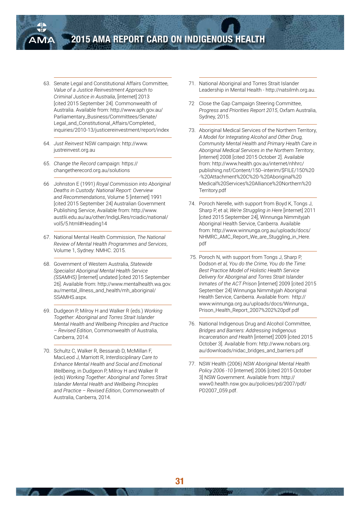

- 63. Senate Legal and Constitutional Affairs Committee, *Value of a Justice Reinvestment Approach to Criminal Justice in Australia*, [internet] 2013 [cited 2015 September 24]. Commonwealth of Australia. Available from: http://www.aph.gov.au/ Parliamentary\_Business/Committees/Senate/ Legal\_and\_Constitutional\_Affairs/Completed\_ inquiries/2010-13/justicereinvestment/report/index
- 64. *Just Reinvest* NSW campaign: http://www. justreinvest.org.au
- 65. *Change the Record* campaign: https:// changetherecord.org.au/solutions
- 66 Johnston E (1991) *Royal Commission into Aboriginal Deaths in Custody: National Report: Overview and Recommendations*, Volume 5 [internet] 1991 [cited 2015 September 24] Australian Government Publishing Service, Available from: http://www. austlii.edu.au/au/other/IndigLRes/rciadic/national/ vol5/5.html#Heading14
- 67. National Mental Health Commission, *The National Review of Mental Health Programmes and Services*, Volume 1, Sydney: NMHC. 2015.
- 68. Government of Western Australia, *Statewide Specialist Aboriginal Mental Health Service (SSAMHS)* [internet] undated [cited 2015 September 26]. Available from: http://www.mentalhealth.wa.gov. au/mental\_illness\_and\_health/mh\_aboriginal/ SSAMHS.aspx.
- 69. Dudgeon P, Milroy H and Walker R (eds.) *Working Together: Aboriginal and Torres Strait Islander Mental Health and Wellbeing Principles and Practice – Revised Edition*, Commonwealth of Australia, Canberra, 2014.
- 70. Schultz C, Walker R, Bessarab D, McMillan F, MacLeod J, Marriott R, *Interdisciplinary Care to Enhance Mental Health and Social and Emotional Wellbeing*, in Dudgeon P, Milroy H and Walker R (eds) *Working Together: Aboriginal and Torres Strait Islander Mental Health and Wellbeing Principles and Practice – Revised Edition*, Commonwealth of Australia, Canberra, 2014.
- 71. National Aboriginal and Torres Strait Islander Leadership in Mental Health - http://natsilmh.org.au.
- 72 Close the Gap Campaign Steering Committee, *Progress and Priorities Report 2015*, Oxfam Australia, Sydney, 2015.
- 73. Aboriginal Medical Services of the Northern Territory, *A Model for Integrating Alcohol and Other Drug, Community Mental Health and Primary Health Care in Aboriginal Medical Services in the Northern Territory*, [internet] 2008 [cited 2015 October 2]. Available from: http://www.health.gov.au/internet/nhhrc/ publishing.nsf/Content/150--interim/\$FILE/150%20 -%20Attachment%20C%20-%20Aboriginal%20 Medical%20Services%20Alliance%20Northern%20 Territory.pdf
- 74. Poroch Nerelle, with support from Boyd K, Tongs J, Sharp P, et al; *We're Struggling in Here* [internet] 2011 [cited 2015 September 24], Winnunga Nimmityjah Aboriginal Health Service, Canberra. Available from: http://www.winnunga.org.au/uploads/docs/ NHMRC\_AMC\_Report\_We\_are\_Stuggling\_in\_Here. pdf
- 75. Poroch N, with support from Tongs J, Sharp P, Dodson *et al, You do the Crime, You do the Time: Best Practice Model of Holistic Health Service Delivery for Aboriginal and Torres Strait Islander Inmates of the ACT Prison* [internet] 2009 [cited 2015 September 24] Winnunga Nimmityjah Aboriginal Health Service, Canberra. Available from: http:// www.winnunga.org.au/uploads/docs/Winnunga\_ Prison\_Health\_Report\_2007%202%20pdf.pdf
- 76. National Indigenous Drug and Alcohol Committee, *Bridges and Barriers: Addressing Indigenous Incarceration and Health* [internet] 2009 [cited 2015 October 3]. Available from: http://www.nobars.org. au/downloads/nidac\_bridges\_and\_barriers.pdf
- 77. NSW Health (2006) *NSW Aboriginal Mental Health Policy 2006 -10* [internet] 2006 [cited 2015 October 3] NSW Government. Available from: http:// www0.health.nsw.gov.au/policies/pd/2007/pdf/ PD2007\_059.pdf.